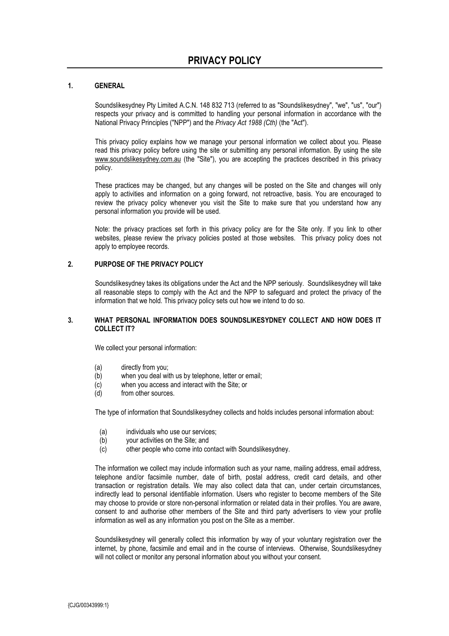## **1. GENERAL**

Soundslikesydney Pty Limited A.C.N. 148 832 713 (referred to as "Soundslikesydney", "we", "us", "our") respects your privacy and is committed to handling your personal information in accordance with the National Privacy Principles ("NPP") and the *Privacy Act 1988 (Cth)* (the "Act").

This privacy policy explains how we manage your personal information we collect about you. Please read this privacy policy before using the site or submitting any personal information. By using the site www.soundslikesydney.com.au (the "Site"), you are accepting the practices described in this privacy policy.

These practices may be changed, but any changes will be posted on the Site and changes will only apply to activities and information on a going forward, not retroactive, basis. You are encouraged to review the privacy policy whenever you visit the Site to make sure that you understand how any personal information you provide will be used.

Note: the privacy practices set forth in this privacy policy are for the Site only. If you link to other websites, please review the privacy policies posted at those websites. This privacy policy does not apply to employee records.

## **2. PURPOSE OF THE PRIVACY POLICY**

Soundslikesydney takes its obligations under the Act and the NPP seriously. Soundslikesydney will take all reasonable steps to comply with the Act and the NPP to safeguard and protect the privacy of the information that we hold. This privacy policy sets out how we intend to do so.

#### **3. WHAT PERSONAL INFORMATION DOES SOUNDSLIKESYDNEY COLLECT AND HOW DOES IT COLLECT IT?**

We collect your personal information:

- (a) directly from you;
- (b) when you deal with us by telephone, letter or email;
- (c) when you access and interact with the Site; or
- (d) from other sources.

The type of information that Soundslikesydney collects and holds includes personal information about:

- (a) individuals who use our services;
- (b) your activities on the Site; and
- (c) other people who come into contact with Soundslikesydney.

The information we collect may include information such as your name, mailing address, email address, telephone and/or facsimile number, date of birth, postal address, credit card details, and other transaction or registration details. We may also collect data that can, under certain circumstances, indirectly lead to personal identifiable information. Users who register to become members of the Site may choose to provide or store non-personal information or related data in their profiles. You are aware, consent to and authorise other members of the Site and third party advertisers to view your profile information as well as any information you post on the Site as a member.

Soundslikesydney will generally collect this information by way of your voluntary registration over the internet, by phone, facsimile and email and in the course of interviews. Otherwise, Soundslikesydney will not collect or monitor any personal information about you without your consent.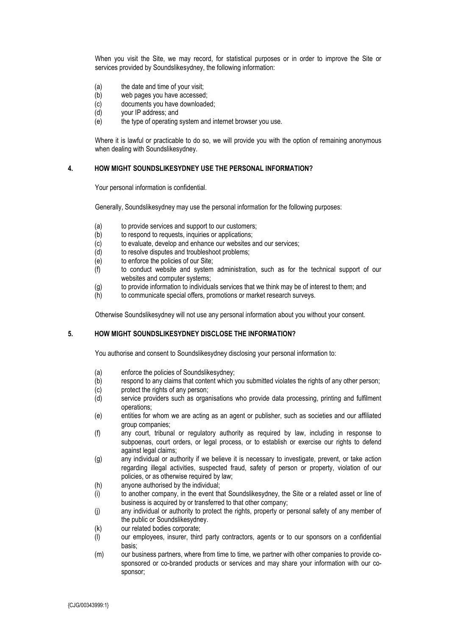When you visit the Site, we may record, for statistical purposes or in order to improve the Site or services provided by Soundslikesydney, the following information:

- (a) the date and time of your visit;
- (b) web pages you have accessed;
- (c) documents you have downloaded;
- (d) your IP address; and
- (e) the type of operating system and internet browser you use.

Where it is lawful or practicable to do so, we will provide you with the option of remaining anonymous when dealing with Soundslikesydney.

#### **4. HOW MIGHT SOUNDSLIKESYDNEY USE THE PERSONAL INFORMATION?**

Your personal information is confidential.

Generally, Soundslikesydney may use the personal information for the following purposes:

- (a) to provide services and support to our customers;
- (b) to respond to requests, inquiries or applications;
- (c) to evaluate, develop and enhance our websites and our services;
- (d) to resolve disputes and troubleshoot problems;
- (e) to enforce the policies of our Site;
- (f) to conduct website and system administration, such as for the technical support of our websites and computer systems;
- (g) to provide information to individuals services that we think may be of interest to them; and (h) to communicate special offers, promotions or market research surveys.
- to communicate special offers, promotions or market research surveys.

Otherwise Soundslikesydney will not use any personal information about you without your consent.

#### **5. HOW MIGHT SOUNDSLIKESYDNEY DISCLOSE THE INFORMATION?**

You authorise and consent to Soundslikesydney disclosing your personal information to:

- (a) enforce the policies of Soundslikesydney;
- (b) respond to any claims that content which you submitted violates the rights of any other person;
- (c) protect the rights of any person;
- (d) service providers such as organisations who provide data processing, printing and fulfilment operations;
- (e) entities for whom we are acting as an agent or publisher, such as societies and our affiliated group companies;
- (f) any court, tribunal or regulatory authority as required by law, including in response to subpoenas, court orders, or legal process, or to establish or exercise our rights to defend against legal claims;
- (g) any individual or authority if we believe it is necessary to investigate, prevent, or take action regarding illegal activities, suspected fraud, safety of person or property, violation of our policies, or as otherwise required by law;
- (h) anyone authorised by the individual;
- (i) to another company, in the event that Soundslikesydney, the Site or a related asset or line of business is acquired by or transferred to that other company;
- (j) any individual or authority to protect the rights, property or personal safety of any member of the public or Soundslikesydney.
- (k) our related bodies corporate;
- (l) our employees, insurer, third party contractors, agents or to our sponsors on a confidential basis;
- (m) our business partners, where from time to time, we partner with other companies to provide cosponsored or co-branded products or services and may share your information with our cosponsor;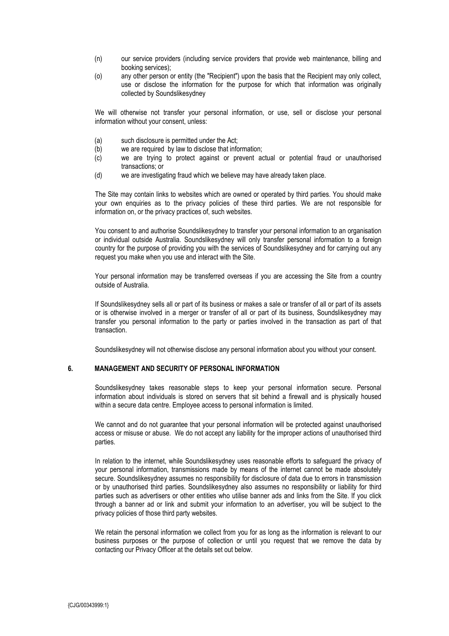- (n) our service providers (including service providers that provide web maintenance, billing and booking services);
- (o) any other person or entity (the "Recipient") upon the basis that the Recipient may only collect, use or disclose the information for the purpose for which that information was originally collected by Soundslikesydney

We will otherwise not transfer your personal information, or use, sell or disclose your personal information without your consent, unless:

- (a) such disclosure is permitted under the Act;
- (b) we are required by law to disclose that information;
- (c) we are trying to protect against or prevent actual or potential fraud or unauthorised transactions; or
- (d) we are investigating fraud which we believe may have already taken place.

The Site may contain links to websites which are owned or operated by third parties. You should make your own enquiries as to the privacy policies of these third parties. We are not responsible for information on, or the privacy practices of, such websites.

You consent to and authorise Soundslikesydney to transfer your personal information to an organisation or individual outside Australia. Soundslikesydney will only transfer personal information to a foreign country for the purpose of providing you with the services of Soundslikesydney and for carrying out any request you make when you use and interact with the Site.

Your personal information may be transferred overseas if you are accessing the Site from a country outside of Australia.

If Soundslikesydney sells all or part of its business or makes a sale or transfer of all or part of its assets or is otherwise involved in a merger or transfer of all or part of its business, Soundslikesydney may transfer you personal information to the party or parties involved in the transaction as part of that transaction.

Soundslikesydney will not otherwise disclose any personal information about you without your consent.

#### **6. MANAGEMENT AND SECURITY OF PERSONAL INFORMATION**

Soundslikesydney takes reasonable steps to keep your personal information secure. Personal information about individuals is stored on servers that sit behind a firewall and is physically housed within a secure data centre. Employee access to personal information is limited.

We cannot and do not guarantee that your personal information will be protected against unauthorised access or misuse or abuse. We do not accept any liability for the improper actions of unauthorised third parties.

In relation to the internet, while Soundslikesydney uses reasonable efforts to safeguard the privacy of your personal information, transmissions made by means of the internet cannot be made absolutely secure. Soundslikesydney assumes no responsibility for disclosure of data due to errors in transmission or by unauthorised third parties. Soundslikesydney also assumes no responsibility or liability for third parties such as advertisers or other entities who utilise banner ads and links from the Site. If you click through a banner ad or link and submit your information to an advertiser, you will be subject to the privacy policies of those third party websites.

We retain the personal information we collect from you for as long as the information is relevant to our business purposes or the purpose of collection or until you request that we remove the data by contacting our Privacy Officer at the details set out below.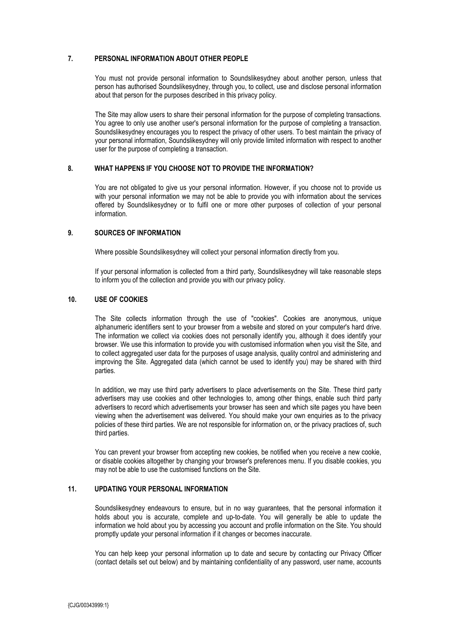# **7. PERSONAL INFORMATION ABOUT OTHER PEOPLE**

You must not provide personal information to Soundslikesydney about another person, unless that person has authorised Soundslikesydney, through you, to collect, use and disclose personal information about that person for the purposes described in this privacy policy.

The Site may allow users to share their personal information for the purpose of completing transactions. You agree to only use another user's personal information for the purpose of completing a transaction. Soundslikesydney encourages you to respect the privacy of other users. To best maintain the privacy of your personal information, Soundslikesydney will only provide limited information with respect to another user for the purpose of completing a transaction.

### **8. WHAT HAPPENS IF YOU CHOOSE NOT TO PROVIDE THE INFORMATION?**

You are not obligated to give us your personal information. However, if you choose not to provide us with your personal information we may not be able to provide you with information about the services offered by Soundslikesydney or to fulfil one or more other purposes of collection of your personal information.

#### **9. SOURCES OF INFORMATION**

Where possible Soundslikesydney will collect your personal information directly from you.

If your personal information is collected from a third party, Soundslikesydney will take reasonable steps to inform you of the collection and provide you with our privacy policy.

#### **10. USE OF COOKIES**

The Site collects information through the use of "cookies". Cookies are anonymous, unique alphanumeric identifiers sent to your browser from a website and stored on your computer's hard drive. The information we collect via cookies does not personally identify you, although it does identify your browser. We use this information to provide you with customised information when you visit the Site, and to collect aggregated user data for the purposes of usage analysis, quality control and administering and improving the Site. Aggregated data (which cannot be used to identify you) may be shared with third parties.

In addition, we may use third party advertisers to place advertisements on the Site. These third party advertisers may use cookies and other technologies to, among other things, enable such third party advertisers to record which advertisements your browser has seen and which site pages you have been viewing when the advertisement was delivered. You should make your own enquiries as to the privacy policies of these third parties. We are not responsible for information on, or the privacy practices of, such third parties.

You can prevent your browser from accepting new cookies, be notified when you receive a new cookie, or disable cookies altogether by changing your browser's preferences menu. If you disable cookies, you may not be able to use the customised functions on the Site.

## **11. UPDATING YOUR PERSONAL INFORMATION**

Soundslikesydney endeavours to ensure, but in no way guarantees, that the personal information it holds about you is accurate, complete and up-to-date. You will generally be able to update the information we hold about you by accessing you account and profile information on the Site. You should promptly update your personal information if it changes or becomes inaccurate.

You can help keep your personal information up to date and secure by contacting our Privacy Officer (contact details set out below) and by maintaining confidentiality of any password, user name, accounts